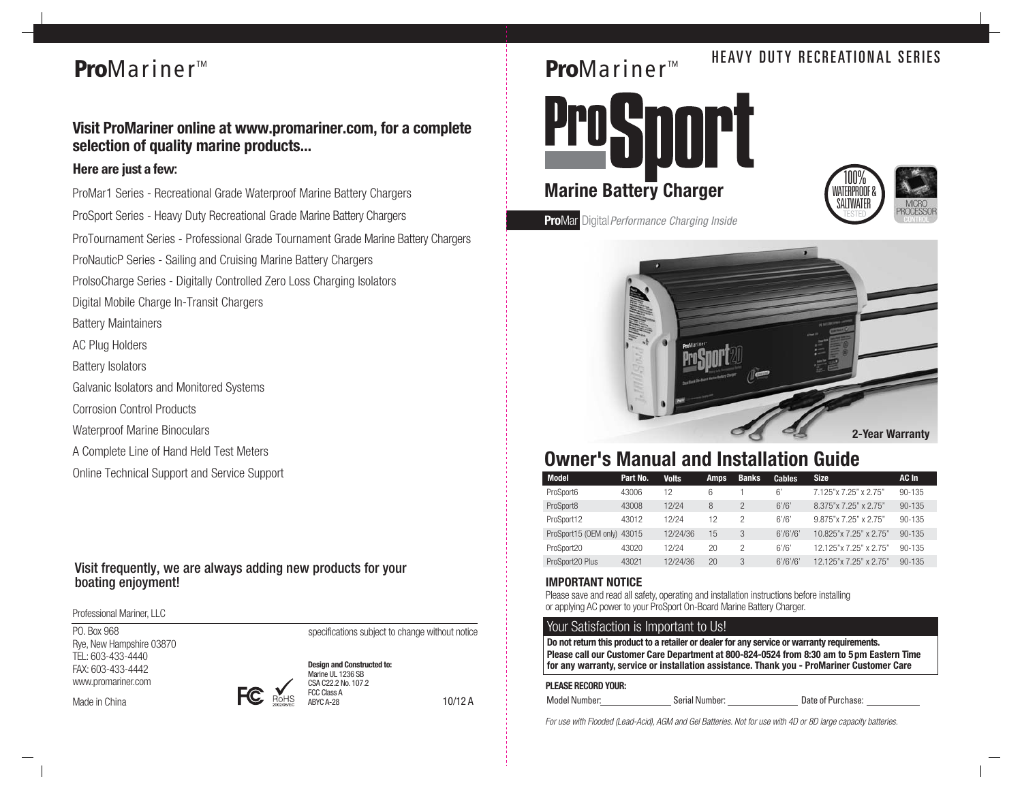## **Pro**Mariner<sup>™</sup>

## **Visit ProMariner online at www.promariner.com, for a complete selection of quality marine products...**

### *Here are just a few:*

ProMar1 Series - Recreational Grade Waterproof Marine Battery Chargers ProSport Series - Heavy Duty Recreational Grade Marine Battery Chargers ProTournament Series - Professional Grade Tournament Grade Marine Battery Chargers ProNauticP Series - Sailing and Cruising Marine Battery Chargers ProIsoCharge Series - Digitally Controlled Zero Loss Charging Isolators Digital Mobile Charge In-Transit Chargers Battery Maintainers AC Plug Holders Battery Isolators Galvanic Isolators and Monitored Systems Corrosion Control Products Waterproof Marine Binoculars A Complete Line of Hand Held Test Meters

Online Technical Support and Service Support

### Visit frequently, we are always adding new products for your boating enjoyment!

Professional Mariner, LLC

PO. Box 968 Rye, New Hampshire 03870 TEL: 603-433-4440 FAX: 603-433-4442 www.promariner.com

Made in China



10/12 A

specifications subject to change without notice

**Design and Constructed to:** Marine UL 1236 SB CSA C22.2 No. 107.2 FCC Class A ABYC A-28

## **Pro**Mariner<sup>™</sup> HEAVY DUTY RECREATIONAL SERIES

**ProSport Marine Battery Charger**



**ProMar** Digital Performance Charging Inside



## **Owner's Manual and Installation Guide**

| <b>Model</b>                | Part No. | <b>Volts</b> | Amps | <b>Banks</b>   | <b>Cables</b> | <b>Size</b>                    | AC In      |
|-----------------------------|----------|--------------|------|----------------|---------------|--------------------------------|------------|
| ProSport6                   | 43006    | 12           | 6    |                | 6'            | 7.125"x 7.25" x 2.75"          | $90 - 135$ |
| ProSport8                   | 43008    | 12/24        | 8    | $\mathfrak{p}$ | 6'/6'         | 8.375"x 7.25" x 2.75"          | $90 - 135$ |
| ProSport12                  | 43012    | 12/24        | 12   | 2              | 6'/6'         | $9.875$ "x $7.25$ " x $2.75$ " | $90 - 135$ |
| ProSport15 (OEM only) 43015 |          | 12/24/36     | 15   | 3              | 6'/6'/6'      | 10.825"x 7.25" x 2.75"         | $90 - 135$ |
| ProSport20                  | 43020    | 12/24        | 20   | 2              | 6'/6'         | 12 125"x 7 25" x 2 75"         | $90 - 135$ |
| ProSport20 Plus             | 43021    | 12/24/36     | 20   | 3              | 6'/6'/6'      | 12.125"x 7.25" x 2.75"         | $90 - 135$ |

### **IMPORTANT NOTICE**

Please save and read all safety, operating and installation instructions before installing or applying AC power to your ProSport On-Board Marine Battery Charger.

### Your Satisfaction is Important to Us!

**Please call our Customer Care Department at 800-824-0524 from 8:30 am to 5pm Eastern Time for any warranty, service or installation assistance. Thank you - ProMariner Customer Care Do not return this product to a retailer or dealer for any service or warranty requirements.**

### **PLEASE RECORD YOUR:**

Model Number: Serial Number: Serial Number: Date of Purchase:

For use with Flooded (Lead-Acid), AGM and Gel Batteries. Not for use with 4D or 8D large capacity batteries.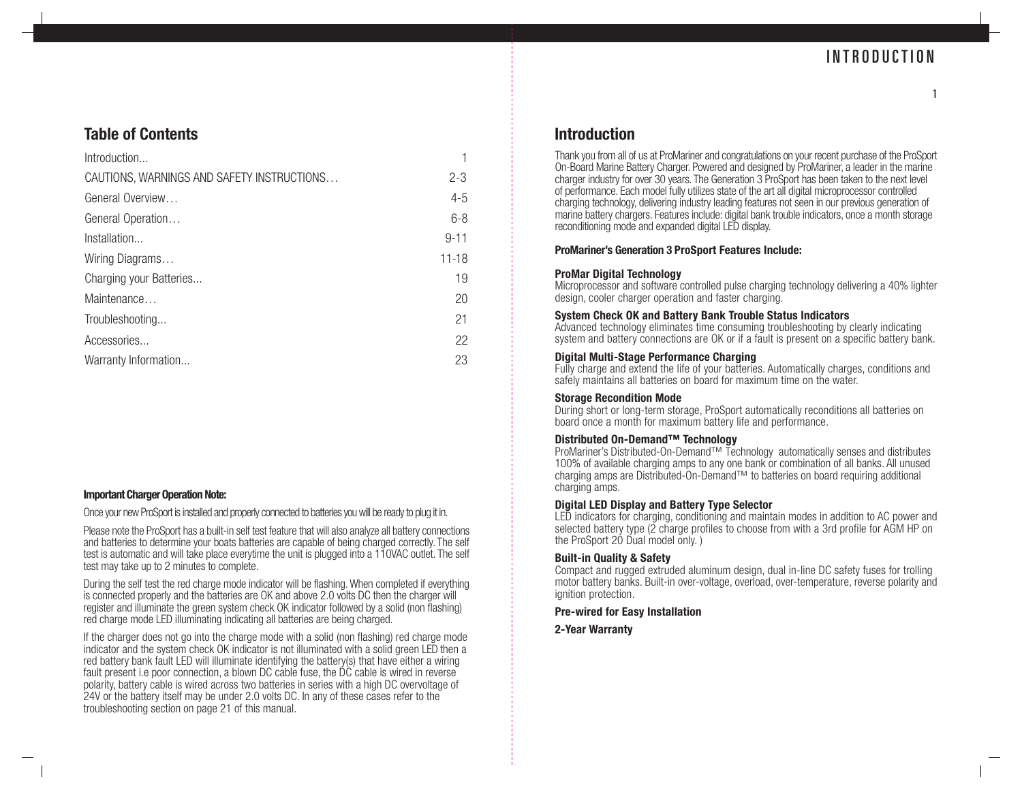1

## **Table of Contents**

| Introduction                               |           |
|--------------------------------------------|-----------|
| CAUTIONS, WARNINGS AND SAFETY INSTRUCTIONS | $2 - 3$   |
| General Overview                           | $4 - 5$   |
| General Operation                          | $6 - 8$   |
| Installation                               | $9 - 11$  |
| Wiring Diagrams                            | $11 - 18$ |
| Charging your Batteries                    | 19        |
| Maintenance                                | 20        |
| Troubleshooting                            | 21        |
| Accessories                                | 22        |
| Warranty Information                       | 23        |

### **Important Charger Operation Note:**

Once your new ProSport is installed and properly connected to batteries you will be ready to plug it in.

Please note the ProSport has a built-in self test feature that will also analyze all battery connections and batteries to determine your boats batteries are capable of being charged correctly. The self test is automatic and will take place everytime the unit is plugged into a 110VAC outlet. The self test may take up to 2 minutes to complete.

During the self test the red charge mode indicator will be flashing. When completed if everything is connected properly and the batteries are OK and above 2.0 volts DC then the charger will register and illuminate the green system check OK indicator followed by a solid (non flashing) red charge mode LED illuminating indicating all batteries are being charged.

If the charger does not go into the charge mode with a solid (non flashing) red charge mode indicator and the system check OK indicator is not illuminated with a solid green LED then a red battery bank fault LED will illuminate identifying the battery(s) that have either a wiring fault present i.e poor connection, a blown DC cable fuse, the DC cable is wired in reverse polarity, battery cable is wired across two batteries in series with a high DC overvoltage of 24V or the battery itself may be under 2.0 volts DC. In any of these cases refer to the troubleshooting section on page 21 of this manual.

### **Introduction**

Thank you from all of us at ProMariner and congratulations on your recent purchase of the ProSport On-Board Marine Battery Charger. Powered and designed by ProMariner, a leader in the marine charger industry for over 30 years. The Generation 3 ProSport has been taken to the next level of performance. Each model fully utilizes state of the art all digital microprocessor controlled charging technology, delivering industry leading features not seen in our previous generation of marine battery chargers. Features include: digital bank trouble indicators, once a month storage reconditioning mode and expanded digital LED display.

### **ProMariner's Generation 3 ProSport Features Include:**

### **ProMar Digital Technology**

Microprocessor and software controlled pulse charging technology delivering a 40% lighter design, cooler charger operation and faster charging.

### **System Check OK and Battery Bank Trouble Status Indicators**

Advanced technology eliminates time consuming troubleshooting by clearly indicating system and battery connections are OK or if a fault is present on a specific battery bank.

### **Digital Multi-Stage Performance Charging**

Fully charge and extend the life of your batteries. Automatically charges, conditions and safely maintains all batteries on board for maximum time on the water.

### **Storage Recondition Mode**

During short or long-term storage, ProSport automatically reconditions all batteries on board once a month for maximum battery life and performance.

### **Distributed On-Demand™ Technology**

ProMariner's Distributed-On-Demand™ Technology automatically senses and distributes 100% of available charging amps to any one bank or combination of all banks. All unused charging amps are Distributed-On-Demand™ to batteries on board requiring additional charging amps.

### **Digital LED Display and Battery Type Selector**

LED indicators for charging, conditioning and maintain modes in addition to AC power and selected battery type (2 charge profiles to choose from with a 3rd profile for AGM HP on the ProSport 20 Dual model only. )

### **Built-in Quality & Safety**

Compact and rugged extruded aluminum design, dual in-line DC safety fuses for trolling motor battery banks. Built-in over-voltage, overload, over-temperature, reverse polarity and ignition protection.

### **Pre-wired for Easy Installation**

**2-Year Warranty**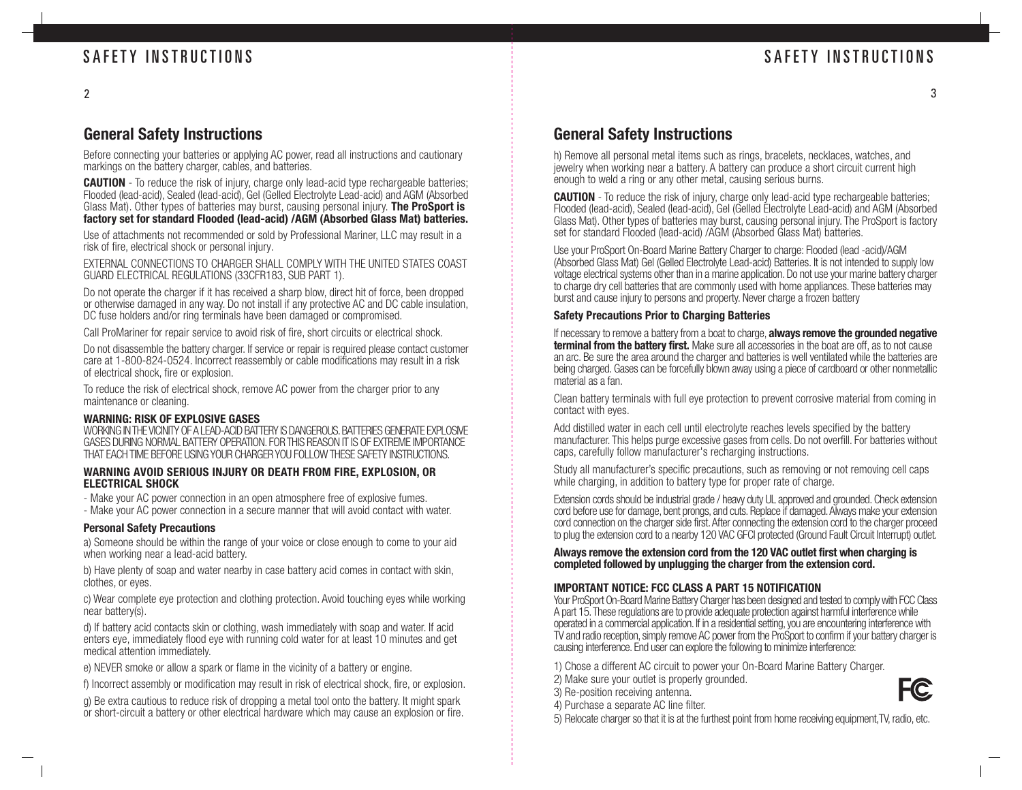3

## **General Safety Instructions**

Before connecting your batteries or applying AC power, read all instructions and cautionary markings on the battery charger, cables, and batteries.

**CAUTION** - To reduce the risk of injury, charge only lead-acid type rechargeable batteries; Flooded (lead-acid), Sealed (lead-acid), Gel (Gelled Electrolyte Lead-acid) and AGM (Absorbed Glass Mat). Other types of batteries may burst, causing personal injury. **The ProSport is factory set for standard Flooded (lead-acid) /AGM (Absorbed Glass Mat) batteries.**

Use of attachments not recommended or sold by Professional Mariner, LLC may result in a risk of fire, electrical shock or personal injury.

EXTERNAL CONNECTIONS TO CHARGER SHALL COMPLY WITH THE UNITED STATES COAST GUARD ELECTRICAL REGULATIONS (33CFR183, SUB PART 1).

Do not operate the charger if it has received a sharp blow, direct hit of force, been dropped or otherwise damaged in any way. Do not install if any protective AC and DC cable insulation, DC fuse holders and/or ring terminals have been damaged or compromised.

Call ProMariner for repair service to avoid risk of fire, short circuits or electrical shock.

Do not disassemble the battery charger. If service or repair is required please contact customer care at 1-800-824-0524. Incorrect reassembly or cable modifications may result in a risk of electrical shock, fire or explosion.

To reduce the risk of electrical shock, remove AC power from the charger prior to any maintenance or cleaning.

### **WARNING: RISK OF EXPLOSIVE GASES**

WORKING IN THE VICINITY OF A LEAD-ACID BATTERY IS DANGEROUS. BATTERIES GENERATE EXPLOSIVE GASES DURING NORMAL BATTERY OPERATION. FOR THIS REASON IT IS OF EXTREME IMPORTANCE THAT EACH TIME BEFORE USING YOUR CHARGER YOU FOLLOW THESE SAFETY INSTRUCTIONS.

### **WARNING AVOID SERIOUS INJURY OR DEATH FROM FIRE, EXPLOSION, OR ELECTRICAL SHOCK**

- Make your AC power connection in an open atmosphere free of explosive fumes.

- Make your AC power connection in a secure manner that will avoid contact with water.

### **Personal Safety Precautions**

a) Someone should be within the range of your voice or close enough to come to your aid when working near a lead-acid battery.

b) Have plenty of soap and water nearby in case battery acid comes in contact with skin, clothes, or eyes.

c) Wear complete eye protection and clothing protection. Avoid touching eyes while working near battery(s).

d) If battery acid contacts skin or clothing, wash immediately with soap and water. If acid enters eye, immediately flood eye with running cold water for at least 10 minutes and get medical attention immediately.

e) NEVER smoke or allow a spark or flame in the vicinity of a battery or engine.

f) Incorrect assembly or modification may result in risk of electrical shock, fire, or explosion.

g) Be extra cautious to reduce risk of dropping a metal tool onto the battery. It might spark or short-circuit a battery or other electrical hardware which may cause an explosion or fire.

## **General Safety Instructions**

h) Remove all personal metal items such as rings, bracelets, necklaces, watches, and jewelry when working near a battery. A battery can produce a short circuit current high enough to weld a ring or any other metal, causing serious burns.

**CAUTION** - To reduce the risk of injury, charge only lead-acid type rechargeable batteries; Flooded (lead-acid), Sealed (lead-acid), Gel (Gelled Electrolyte Lead-acid) and AGM (Absorbed Glass Mat). Other types of batteries may burst, causing personal injury. The ProSport is factory set for standard Flooded (lead-acid) /AGM (Absorbed Glass Mat) batteries.

Use your ProSport On-Board Marine Battery Charger to charge: Flooded (lead -acid)/AGM (Absorbed Glass Mat) Gel (Gelled Electrolyte Lead-acid) Batteries. It is not intended to supply low voltage electrical systems other than in a marine application. Do not use your marine battery charger to charge dry cell batteries that are commonly used with home appliances. These batteries may burst and cause injury to persons and property. Never charge a frozen battery

### **Safety Precautions Prior to Charging Batteries**

If necessary to remove a battery from a boat to charge, **always remove the grounded negative terminal from the battery first.** Make sure all accessories in the boat are off, as to not cause an arc. Be sure the area around the charger and batteries is well ventilated while the batteries are being charged. Gases can be forcefully blown away using a piece of cardboard or other nonmetallic material as a fan.

Clean battery terminals with full eye protection to prevent corrosive material from coming in contact with eyes.

Add distilled water in each cell until electrolyte reaches levels specified by the battery manufacturer. This helps purge excessive gases from cells. Do not overfill. For batteries without caps, carefully follow manufacturer's recharging instructions.

Study all manufacturer's specific precautions, such as removing or not removing cell caps while charging, in addition to battery type for proper rate of charge.

Extension cords should be industrial grade / heavy duty UL approved and grounded. Check extension cord before use for damage, bent prongs, and cuts. Replace if damaged. Always make your extension cord connection on the charger side first. After connecting the extension cord to the charger proceed to plug the extension cord to a nearby 120 VAC GFCI protected (Ground Fault Circuit Interrupt) outlet.

### **Always remove the extension cord from the 120 VAC outlet first when charging is completed followed by unplugging the charger from the extension cord.**

### **IMPORTANT NOTICE: FCC CLASS A PART 15 NOTIFICATION**

Your ProSport On-Board Marine Battery Charger has been designed and tested to comply with FCC Class A part 15. These regulations are to provide adequate protection against harmful interference while operated in a commercial application. If in a residential setting, you are encountering interference with TV and radio reception, simply remove AC power from the ProSport to confirm if your battery charger is causing interference. End user can explore the following to minimize interference:

1) Chose a different AC circuit to power your On-Board Marine Battery Charger.

- 2) Make sure your outlet is properly grounded.
- 3) Re-position receiving antenna.



5) Relocate charger so that it is at the furthest point from home receiving equipment,TV, radio, etc.

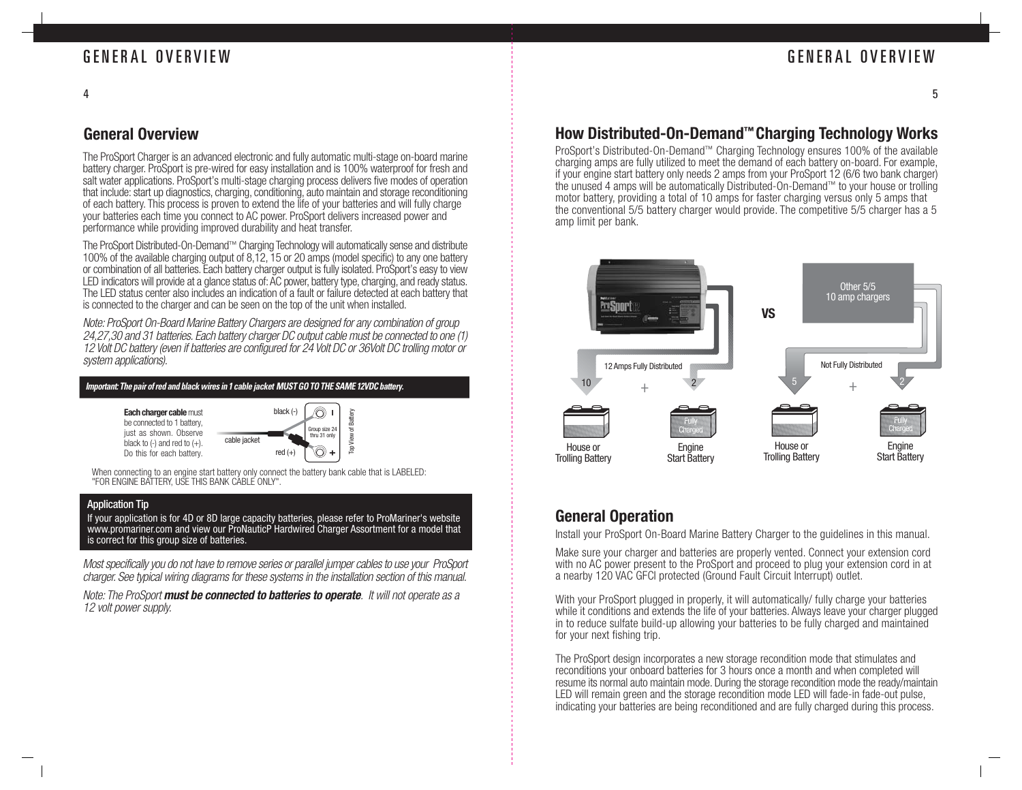## GENERAL OVERVIEW

5

## **General Overview**

4

The ProSport Charger is an advanced electronic and fully automatic multi-stage on-board marine battery charger. ProSport is pre-wired for easy installation and is 100% waterproof for fresh and salt water applications. ProSport's multi-stage charging process delivers five modes of operation that include: start up diagnostics, charging, conditioning, auto maintain and storage reconditioning of each battery. This process is proven to extend the life of your batteries and will fully charge your batteries each time you connect to AC power. ProSport delivers increased power and performance while providing improved durability and heat transfer.

The ProSport Distributed-On-Demand™ Charging Technology will automatically sense and distribute 100% of the available charging output of 8,12, 15 or 20 amps (model specific) to any one battery or combination of all batteries. Each battery charger output is fully isolated. ProSport's easy to view LED indicators will provide at a glance status of: AC power, battery type, charging, and ready status. The LED status center also includes an indication of a fault or failure detected at each battery that is connected to the charger and can be seen on the top of the unit when installed.

Note: ProSport On-Board Marine Battery Chargers are designed for any combination of group 24,27,30 and 31 batteries. Each battery charger DC output cable must be connected to one (1) 12 Volt DC battery (even if batteries are configured for 24 Volt DC or 36Volt DC trolling motor or system applications).

*Important: The pair of red and black wires in 1 cable jacket MUST GO TO THE SAME 12VDC battery.*

**Each charger cable** must be connected to 1 battery. just as shown. Observe black to  $(-)$  and red to  $(+)$ . Do this for each battery.



When connecting to an engine start battery only connect the battery bank cable that is LABELED: "FOR ENGINE BATTERY, USE THIS BANK CABLE ONLY".

### Application Tip

If your application is for 4D or 8D large capacity batteries, please refer to ProMariner's website www.promariner.com and view our ProNauticP Hardwired Charger Assortment for a model that is correct for this group size of batteries.

Most specifically you do not have to remove series or parallel jumper cables to use your ProSport charger. See typical wiring diagrams for these systems in the installation section of this manual.

Note: The ProSport **must be connected to batteries to operate**. It will not operate as a 12 volt power supply.

## **How Distributed-On-Demand ™ Charging Technology Works**

ProSport's Distributed-On-Demand ™ Charging Technology ensures 100% of the available charging amps are fully utilized to meet the demand of each battery on-board. For example, if your engine start battery only needs 2 amps from your ProSport 12 (6/6 two bank charger) the unused 4 amps will be automatically Distributed-On-Demand ™ to your house or trolling motor battery, providing a total of 10 amps for faster charging versus only 5 amps that the conventional 5/5 battery charger would provide. The competitive 5/5 charger has a 5 amp limit per bank.



### **General Operation**

Install your ProSport On-Board Marine Battery Charger to the guidelines in this manual.

Make sure your charger and batteries are properly vented. Connect your extension cord with no AC power present to the ProSport and proceed to plug your extension cord in at a nearby 120 VAC GFCI protected (Ground Fault Circuit Interrupt) outlet.

With your ProSport plugged in properly, it will automatically/ fully charge your batteries while it conditions and extends the life of your batteries. Always leave your charger plugged in to reduce sulfate build-up allowing your batteries to be fully charged and maintained for your next fishing trip.

The ProSport design incorporates a new storage recondition mode that stimulates and reconditions your onboard batteries for 3 hours once a month and when completed will resume its normal auto maintain mode. During the storage recondition mode the ready/maintain LED will remain green and the storage recondition mode LED will fade-in fade-out pulse, indicating your batteries are being reconditioned and are fully charged during this process.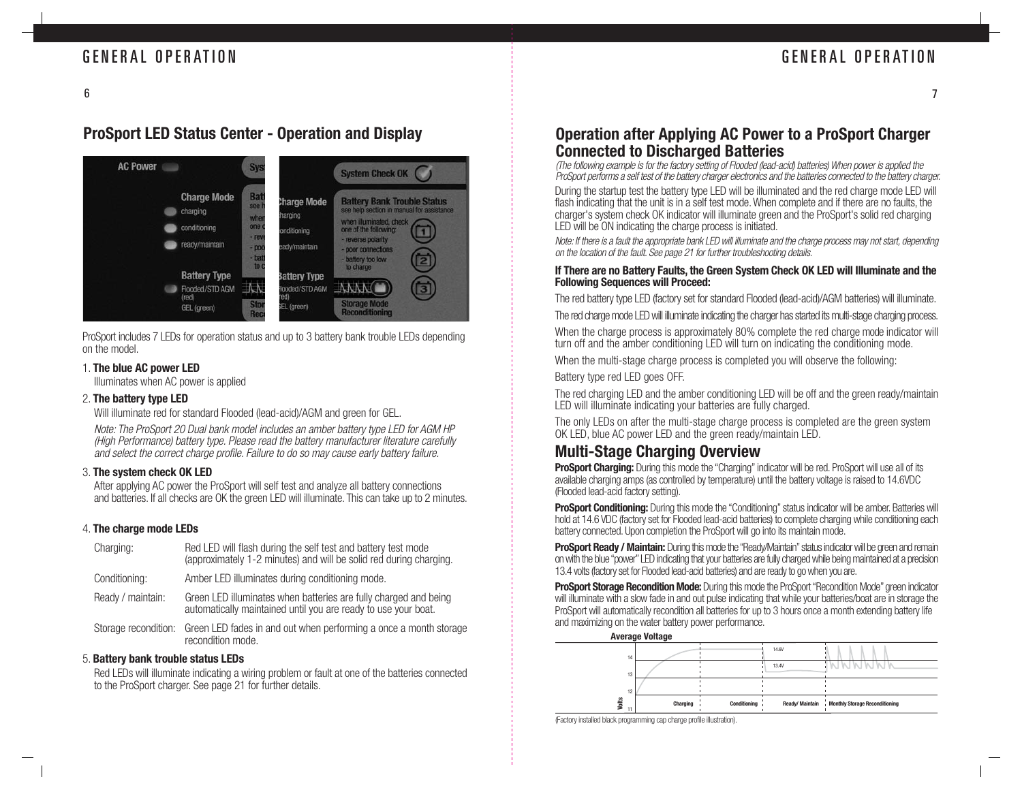7

## **ProSport LED Status Center - Operation and Display**



ProSport includes 7 LEDs for operation status and up to 3 battery bank trouble LEDs depending on the model.

### 1. **The blue AC power LED**

Illuminates when AC power is applied

### 2. **The battery type LED**

Will illuminate red for standard Flooded (lead-acid)/AGM and green for GEL.

Note: The ProSport 20 Dual bank model includes an amber battery type LED for AGM HP (High Performance) battery type. Please read the battery manufacturer literature carefully and select the correct charge profile. Failure to do so may cause early battery failure.

### 3. **The system check OK LED**

After applying AC power the ProSport will self test and analyze all battery connections and batteries. If all checks are OK the green LED will illuminate. This can take up to 2 minutes.

### 4. **The charge mode LEDs**

| Red LED will flash during the self test and battery test mode<br>(approximately 1-2 minutes) and will be solid red during charging. |
|-------------------------------------------------------------------------------------------------------------------------------------|
| Amber LED illuminates during conditioning mode.                                                                                     |
| Green LED illuminates when batteries are fully charged and being<br>automatically maintained until you are ready to use your boat.  |
| Green LED fades in and out when performing a once a month storage<br>recondition mode.                                              |
|                                                                                                                                     |

### 5. **Battery bank trouble status LEDs**

Red LEDs will illuminate indicating a wiring problem or fault at one of the batteries connected to the ProSport charger. See page 21 for further details.

## **Operation after Applying AC Power to a ProSport Charger Connected to Discharged Batteries**

(The following example is for the factory setting of Flooded (lead-acid) batteries) When power is applied the ProSport performs a self test of the battery charger electronics and the batteries connected to the battery charger.

During the startup test the battery type LED will be illuminated and the red charge mode LED will flash indicating that the unit is in a self test mode. When complete and if there are no faults, the charger's system check OK indicator will illuminate green and the ProSport's solid red charging LED will be ON indicating the charge process is initiated.

Note: If there is a fault the appropriate bank LED will illuminate and the charge process may not start, depending on the location of the fault. See page 21 for further troubleshooting details.

### **If There are no Battery Faults, the Green System Check OK LED will Illuminate and the Following Sequences will Proceed:**

The red battery type LED (factory set for standard Flooded (lead-acid)/AGM batteries) will illuminate.

The red charge mode LED will illuminate indicating the charger has started its multi-stage charging process.

When the charge process is approximately 80% complete the red charge mode indicator will turn off and the amber conditioning LED will turn on indicating the conditioning mode.

When the multi-stage charge process is completed you will observe the following:

Battery type red LED goes OFF.

The red charging LED and the amber conditioning LED will be off and the green ready/maintain LED will illuminate indicating your batteries are fully charged.

The only LEDs on after the multi-stage charge process is completed are the green system OK LED, blue AC power LED and the green ready/maintain LED.

## **Multi-Stage Charging Overview**

**ProSport Charging:** During this mode the "Charging" indicator will be red. ProSport will use all of its available charging amps (as controlled by temperature) until the battery voltage is raised to 14.6VDC (Flooded lead-acid factory setting).

**ProSport Conditioning:** During this mode the "Conditioning" status indicator will be amber. Batteries will hold at 14.6 VDC (factory set for Flooded lead-acid batteries) to complete charging while conditioning each battery connected. Upon completion the ProSport will go into its maintain mode.

**ProSport Ready / Maintain:** During this mode the "Ready/Maintain" status indicator will be green and remain on with the blue "power" LED indicating that your batteries are fully charged while being maintained at a precision 13.4 volts (factory set for Flooded lead-acid batteries) and are ready to go when you are.

**ProSport Storage Recondition Mode:** During this mode the ProSport "Recondition Mode" green indicator will illuminate with a slow fade in and out pulse indicating that while your batteries/boat are in storage the ProSport will automatically recondition all batteries for up to 3 hours once a month extending battery life and maximizing on the water battery power performance.



<sup>(</sup>Factory installed black programming cap charge profile illustration).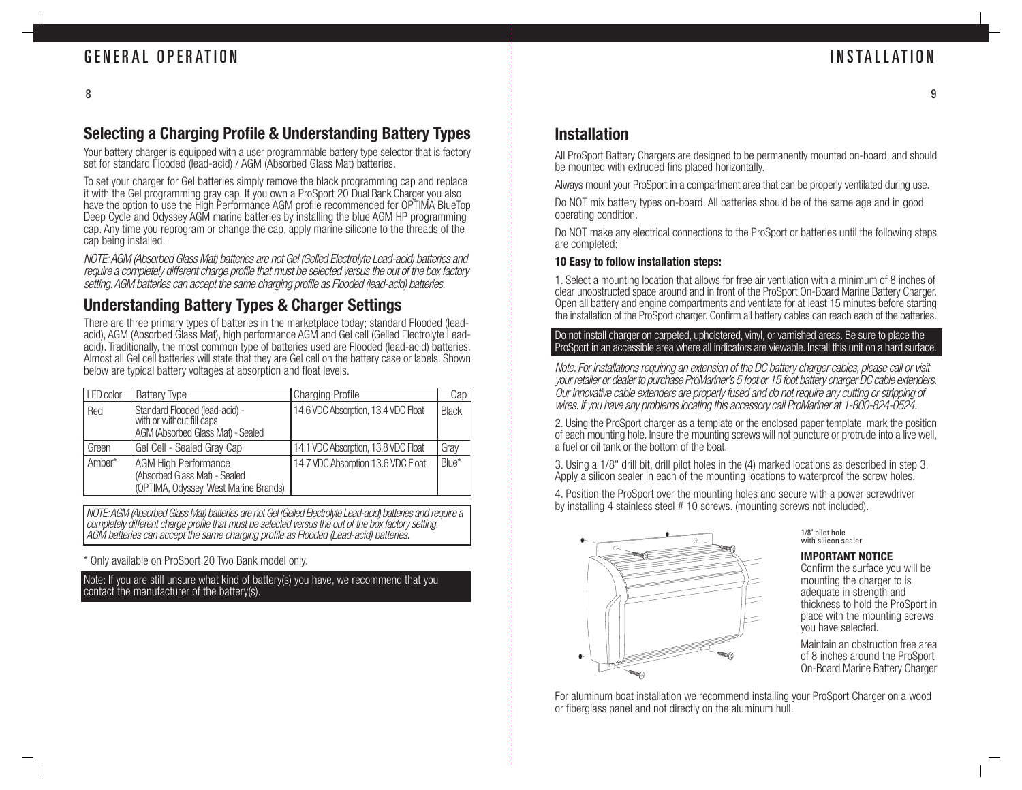## **Selecting a Charging Profile & Understanding Battery Types**

Your battery charger is equipped with a user programmable battery type selector that is factory set for standard Flooded (lead-acid) / AGM (Absorbed Glass Mat) batteries.

To set your charger for Gel batteries simply remove the black programming cap and replace it with the Gel programming gray cap. If you own a ProSport 20 Dual Bank Charger you also have the option to use the High Performance AGM profile recommended for OPTIMA BlueTop Deep Cycle and Odyssey AGM marine batteries by installing the blue AGM HP programming cap. Any time you reprogram or change the cap, apply marine silicone to the threads of the cap being installed.

NOTE: AGM (Absorbed Glass Mat) batteries are not Gel (Gelled Electrolyte Lead-acid) batteries and require a completely different charge profile that must be selected versus the out of the box factory setting. AGM batteries can accept the same charging profile as Flooded (lead-acid) batteries.

## **Understanding Battery Types & Charger Settings**

There are three primary types of batteries in the marketplace today; standard Flooded (leadacid), AGM (Absorbed Glass Mat), high performance AGM and Gel cell (Gelled Electrolyte Leadacid). Traditionally, the most common type of batteries used are Flooded (lead-acid) batteries. Almost all Gel cell batteries will state that they are Gel cell on the battery case or labels. Shown below are typical battery voltages at absorption and float levels.

| LED color | <b>Battery Type</b>                                                                                   | <b>Charging Profile</b>             | Cap          |
|-----------|-------------------------------------------------------------------------------------------------------|-------------------------------------|--------------|
| Red       | Standard Flooded (lead-acid) -<br>with or without fill caps<br>AGM (Absorbed Glass Mat) - Sealed      | 14.6 VDC Absorption, 13.4 VDC Float | <b>Black</b> |
| Green     | Gel Cell - Sealed Gray Cap                                                                            | 14.1 VDC Absorption, 13.8 VDC Float | Gray         |
| Amber*    | <b>AGM High Performance</b><br>(Absorbed Glass Mat) - Sealed<br>(OPTIMA, Odyssey, West Marine Brands) | 14.7 VDC Absorption 13.6 VDC Float  | Blue*        |

NOTE: AGM (Absorbed Glass Mat) batteries are not Gel (Gelled Electrolyte Lead-acid) batteries and require a completely different charge profile that must be selected versus the out of the box factory setting. AGM batteries can accept the same charging profile as Flooded (Lead-acid) batteries.

\* Only available on ProSport 20 Two Bank model only.

Note: If you are still unsure what kind of battery(s) you have, we recommend that you contact the manufacturer of the battery(s).

## **Installation**

All ProSport Battery Chargers are designed to be permanently mounted on-board, and should be mounted with extruded fins placed horizontally.

Always mount your ProSport in a compartment area that can be properly ventilated during use.

Do NOT mix battery types on-board. All batteries should be of the same age and in good operating condition.

Do NOT make any electrical connections to the ProSport or batteries until the following steps are completed:

### **10 Easy to follow installation steps:**

1. Select a mounting location that allows for free air ventilation with a minimum of 8 inches of clear unobstructed space around and in front of the ProSport On-Board Marine Battery Charger. Open all battery and engine compartments and ventilate for at least 15 minutes before starting the installation of the ProSport charger. Confirm all battery cables can reach each of the batteries.

### Do not install charger on carpeted, upholstered, vinyl, or varnished areas. Be sure to place the ProSport in an accessible area where all indicators are viewable. Install this unit on a hard surface.

Note: For installations requiring an extension of the DC battery charger cables, please call or visit your retailer or dealer to purchase ProMariner's 5 foot or 15 foot battery charger DC cable extenders. Our innovative cable extenders are properly fused and do not require any cutting or stripping of wires. If you have any problems locating this accessory call ProMariner at 1-800-824-0524.

2. Using the ProSport charger as a template or the enclosed paper template, mark the position of each mounting hole. Insure the mounting screws will not puncture or protrude into a live well, a fuel or oil tank or the bottom of the boat.

3. Using a 1/8" drill bit, drill pilot holes in the (4) marked locations as described in step 3. Apply a silicon sealer in each of the mounting locations to waterproof the screw holes.

4. Position the ProSport over the mounting holes and secure with a power screwdriver by installing 4 stainless steel # 10 screws. (mounting screws not included).



1/8" pilot hole with silicon sealer

### **IMPORTANT NOTICE**

Confirm the surface you will be mounting the charger to is adequate in strength and thickness to hold the ProSport in place with the mounting screws you have selected.

Maintain an obstruction free area of 8 inches around the ProSport On-Board Marine Battery Charger

For aluminum boat installation we recommend installing your ProSport Charger on a wood or fiberglass panel and not directly on the aluminum hull.

9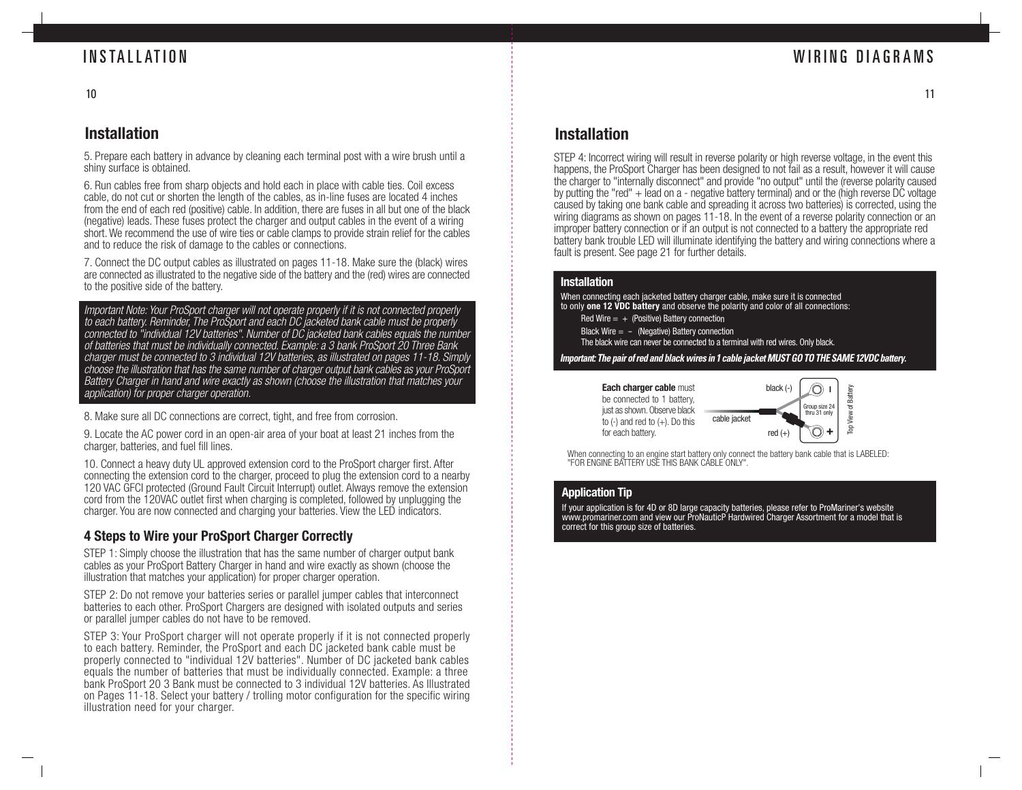## WIRING DIAGRAMS

11

## INSTALLATION

10

## **Installation**

5. Prepare each battery in advance by cleaning each terminal post with a wire brush until a shiny surface is obtained.

6. Run cables free from sharp objects and hold each in place with cable ties. Coil excess cable, do not cut or shorten the length of the cables, as in-line fuses are located 4 inches from the end of each red (positive) cable. In addition, there are fuses in all but one of the black (negative) leads. These fuses protect the charger and output cables in the event of a wiring short. We recommend the use of wire ties or cable clamps to provide strain relief for the cables and to reduce the risk of damage to the cables or connections.

7. Connect the DC output cables as illustrated on pages 11-18. Make sure the (black) wires are connected as illustrated to the negative side of the battery and the (red) wires are connected to the positive side of the battery.

Important Note: Your ProSport charger will not operate properly if it is not connected properly to each battery. Reminder, The ProSport and each DC jacketed bank cable must be properly connected to "individual 12V batteries". Number of DC jacketed bank cables equals the number of batteries that must be individually connected. Example: a 3 bank ProSport 20 Three Bank charger must be connected to 3 individual 12V batteries, as illustrated on pages 11-18. Simply choose the illustration that has the same number of charger output bank cables as your ProSport Battery Charger in hand and wire exactly as shown (choose the illustration that matches your application) for proper charger operation.

8. Make sure all DC connections are correct, tight, and free from corrosion.

9. Locate the AC power cord in an open-air area of your boat at least 21 inches from the charger, batteries, and fuel fill lines.

10. Connect a heavy duty UL approved extension cord to the ProSport charger first. After connecting the extension cord to the charger, proceed to plug the extension cord to a nearby 120 VAC GFCI protected (Ground Fault Circuit Interrupt) outlet. Always remove the extension cord from the 120VAC outlet first when charging is completed, followed by unplugging the charger. You are now connected and charging your batteries. View the LED indicators.

## **4 Steps to Wire your ProSport Charger Correctly**

STEP 1: Simply choose the illustration that has the same number of charger output bank cables as your ProSport Battery Charger in hand and wire exactly as shown (choose the illustration that matches your application) for proper charger operation.

STEP 2: Do not remove your batteries series or parallel jumper cables that interconnect batteries to each other. ProSport Chargers are designed with isolated outputs and series or parallel jumper cables do not have to be removed.

STEP 3: Your ProSport charger will not operate properly if it is not connected properly to each battery. Reminder, the ProSport and each DC jacketed bank cable must be properly connected to "individual 12V batteries". Number of DC jacketed bank cables equals the number of batteries that must be individually connected. Example: a three bank ProSport 20 3 Bank must be connected to 3 individual 12V batteries. As Illustrated on Pages 11-18. Select your battery / trolling motor configuration for the specific wiring illustration need for your charger.

## **Installation**

STEP 4: Incorrect wiring will result in reverse polarity or high reverse voltage, in the event this happens, the ProSport Charger has been designed to not fail as a result, however it will cause the charger to "internally disconnect" and provide "no output" until the (reverse polarity caused by putting the "red" + lead on a - negative battery terminal) and or the (high reverse DC voltage caused by taking one bank cable and spreading it across two batteries) is corrected, using the wiring diagrams as shown on pages 11-18. In the event of a reverse polarity connection or an improper battery connection or if an output is not connected to a battery the appropriate red battery bank trouble LED will illuminate identifying the battery and wiring connections where a fault is present. See page 21 for further details.

### **Installation**

When connecting each jacketed battery charger cable, make sure it is connected to only **one 12 VDC battery** and observe the polarity and color of all connections:

- Red Wire  $= +$  (Positive) Battery connection
- Black Wire  $= -$  (Negative) Battery connection
- The black wire can never be connected to a terminal with red wires. Only black.

*Important: The pair of red and black wires in 1 cable jacket MUST GO TO THE SAME 12VDC battery.*

**Each charger cable** must be connected to 1 battery, just as shown. Observe black to  $(-)$  and red to  $(+)$ . Do this



When connecting to an engine start battery only connect the battery bank cable that is LABELED: "FOR ENGINE BATTERY USE THIS BANK CABLE ONLY".

### **Application Tip**

If your application is for 4D or 8D large capacity batteries, please refer to ProMariner's website www.promariner.com and view our ProNauticP Hardwired Charger Assortment for a model that is correct for this group size of batteries.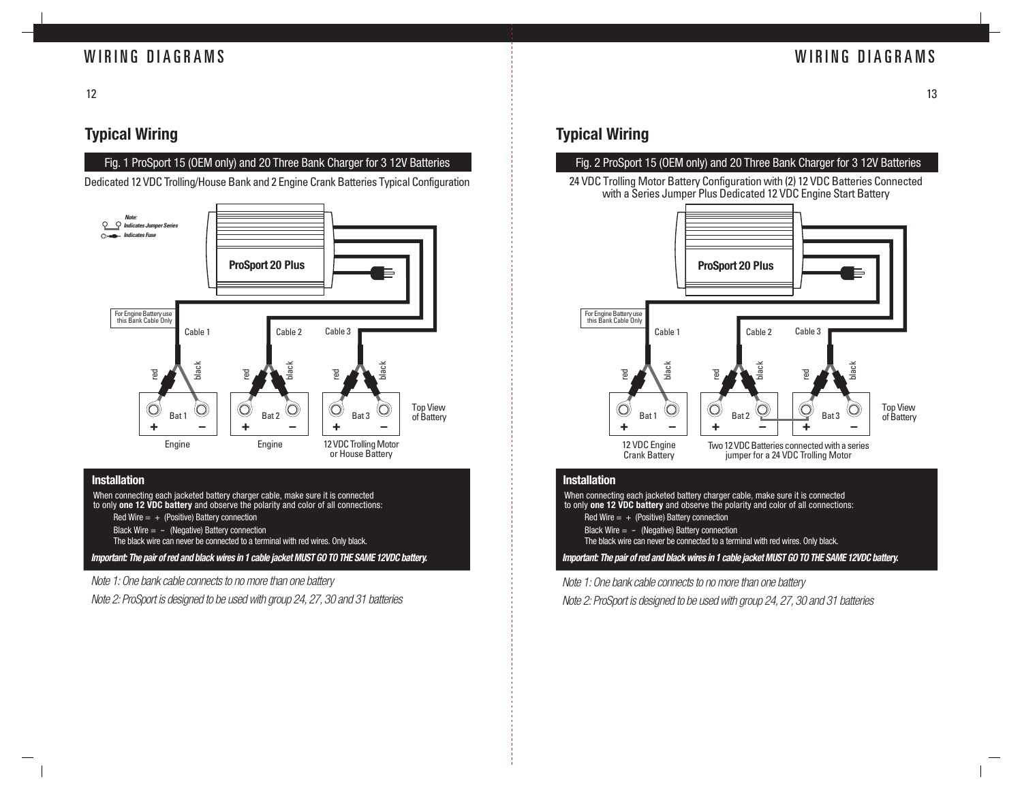## WIRING DIAGRAMS WIRING DIAGRAMS

12

## **Typical Wiring**

### Fig. 1 ProSport 15 (OEM only) and 20 Three Bank Charger for 3 12V Batteries

Dedicated 12 VDC Trolling/House Bank and 2 Engine Crank Batteries Typical Configuration



### **Installation**

When connecting each jacketed battery charger cable, make sure it is connected to only **one 12 VDC battery** and observe the polarity and color of all connections:

- Red Wire  $= +$  (Positive) Battery connection
- Black Wire  $=$  (Negative) Battery connection

The black wire can never be connected to a terminal with red wires. Only black.

**Important: The pair of red and black wires in 1 cable jacket MUST GO TO THE SAME 12VDC battery.**

Note 1: One bank cable connects to no more than one battery

Note 2: ProSport is designed to be used with group 24, 27, 30 and 31 batteries

## **Typical Wiring**

### Fig. 2 ProSport 15 (OEM only) and 20 Three Bank Charger for 3 12V Batteries

24 VDC Trolling Motor Battery Configuration with (2) 12 VDC Batteries Connected with a Series Jumper Plus Dedicated 12 VDC Engine Start Battery



### **Installation**

**Important: The pair of red and black wires in 1 cable jacket MUST GO TO THE SAME 12VDC battery.** When connecting each jacketed battery charger cable, make sure it is connected to only **one 12 VDC battery** and observe the polarity and color of all connections: Red Wire  $= +$  (Positive) Battery connection Black Wire  $= -$  (Negative) Battery connection The black wire can never be connected to a terminal with red wires. Only black.

Note 1: One bank cable connects to no more than one battery

Note 2: ProSport is designed to be used with group 24, 27, 30 and 31 batteries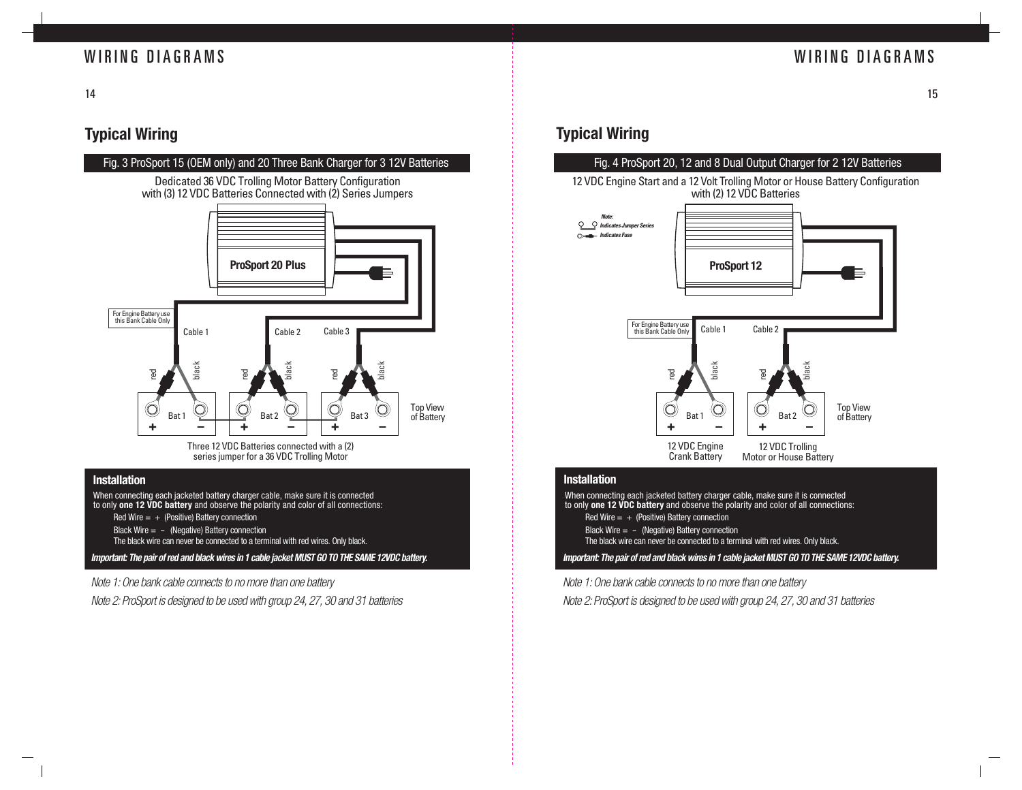## WIRING DIAGRAMS

## WIRING DIAGRAMS

14

## **Typical Wiring**

### Fig. 3 ProSport 15 (OEM only) and 20 Three Bank Charger for 3 12V Batteries

Dedicated 36 VDC Trolling Motor Battery Configuration with (3) 12 VDC Batteries Connected with (2) Series Jumpers



Three 12 VDC Batteries connected with a (2) series jumper for a 36 VDC Trolling Motor

### **Installation**

When connecting each jacketed battery charger cable, make sure it is connected to only **one 12 VDC battery** and observe the polarity and color of all connections:

- Red Wire  $= +$  (Positive) Battery connection
- Black Wire  $=$  (Negative) Battery connection

The black wire can never be connected to a terminal with red wires. Only black.

**Important: The pair of red and black wires in 1 cable jacket MUST GO TO THE SAME 12VDC battery.**

Note 1: One bank cable connects to no more than one battery

Note 2: ProSport is designed to be used with group 24, 27, 30 and 31 batteries

## **Typical Wiring**

### Fig. 4 ProSport 20, 12 and 8 Dual Output Charger for 2 12V Batteries

12 VDC Engine Start and a 12 Volt Trolling Motor or House Battery Configuration with (2) 12 VDC Batteries



### **Installation**

When connecting each jacketed battery charger cable, make sure it is connected to only **one 12 VDC battery** and observe the polarity and color of all connections: Red Wire  $= +$  (Positive) Battery connection Black Wire  $=$  - (Negative) Battery connection

The black wire can never be connected to a terminal with red wires. Only black.

**Important: The pair of red and black wires in 1 cable jacket MUST GO TO THE SAME 12VDC battery.**

Note 1: One bank cable connects to no more than one battery

Note 2: ProSport is designed to be used with group 24, 27, 30 and 31 batteries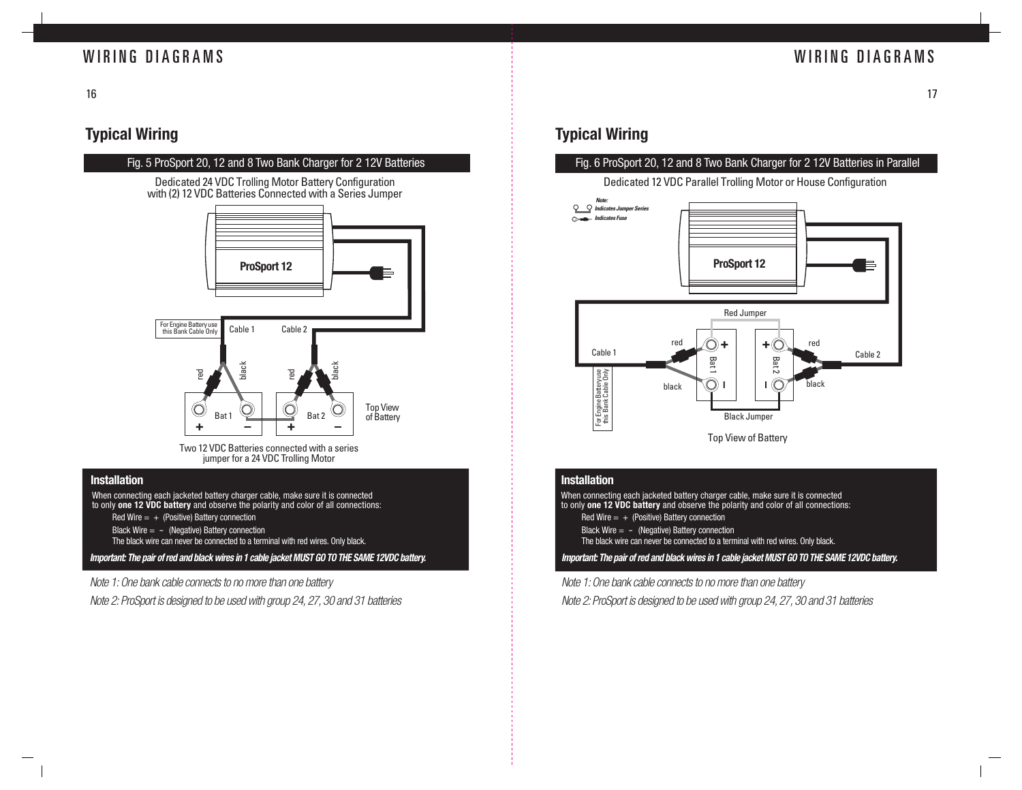## WIRING DIAGRAMS

## WIRING DIAGRAMS

16

## **Typical Wiring**

### Fig. 5 ProSport 20, 12 and 8 Two Bank Charger for 2 12V Batteries

Dedicated 24 VDC Trolling Motor Battery Configuration with (2) 12 VDC Batteries Connected with a Series Jumper



Two 12 VDC Batteries connected with a series jumper for a 24 VDC Trolling Motor

### **Installation**

When connecting each jacketed battery charger cable, make sure it is connected to only **one 12 VDC battery** and observe the polarity and color of all connections:

- Red Wire  $= +$  (Positive) Battery connection
- Black Wire  $=$  (Negative) Battery connection

The black wire can never be connected to a terminal with red wires. Only black.

**Important: The pair of red and black wires in 1 cable jacket MUST GO TO THE SAME 12VDC battery.**

Note 1: One bank cable connects to no more than one battery

Note 2: ProSport is designed to be used with group 24, 27, 30 and 31 batteries

## **Typical Wiring**

### Fig. 6 ProSport 20, 12 and 8 Two Bank Charger for 2 12V Batteries in Parallel





### **Installation**

**Important: The pair of red and black wires in 1 cable jacket MUST GO TO THE SAME 12VDC battery.** When connecting each jacketed battery charger cable, make sure it is connected to only **one 12 VDC battery** and observe the polarity and color of all connections: Red Wire  $= +$  (Positive) Battery connection Black Wire  $=$  - (Negative) Battery connection The black wire can never be connected to a terminal with red wires. Only black.

Note 1: One bank cable connects to no more than one battery

Note 2: ProSport is designed to be used with group 24, 27, 30 and 31 batteries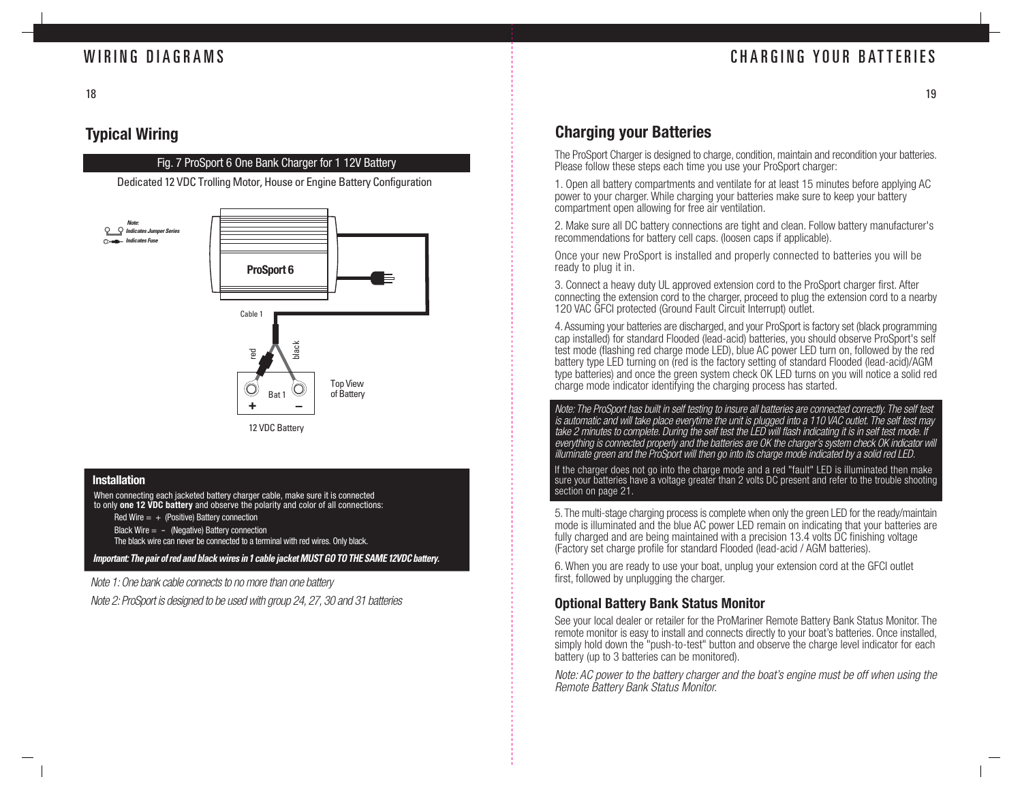## CHARGING YOUR BATTERIES

## **Typical Wiring**

18

### Fig. 7 ProSport 6 One Bank Charger for 1 12V Battery

Dedicated 12 VDC Trolling Motor, House or Engine Battery Configuration



### **Installation**

When connecting each jacketed battery charger cable, make sure it is connected to only **one 12 VDC battery** and observe the polarity and color of all connections:

Red Wire  $= +$  (Positive) Battery connection

Black Wire  $= -$  (Negative) Battery connection

The black wire can never be connected to a terminal with red wires. Only black.

*Important: The pair of red and black wires in 1 cable jacket MUST GO TO THE SAME 12VDC battery.*

Note 1: One bank cable connects to no more than one battery

Note 2: ProSport is designed to be used with group 24, 27, 30 and 31 batteries

## **Charging your Batteries**

The ProSport Charger is designed to charge, condition, maintain and recondition your batteries. Please follow these steps each time you use your ProSport charger:

1. Open all battery compartments and ventilate for at least 15 minutes before applying AC power to your charger. While charging your batteries make sure to keep your battery compartment open allowing for free air ventilation.

2. Make sure all DC battery connections are tight and clean. Follow battery manufacturer's recommendations for battery cell caps. (loosen caps if applicable).

Once your new ProSport is installed and properly connected to batteries you will be ready to plug it in.

3. Connect a heavy duty UL approved extension cord to the ProSport charger first. After connecting the extension cord to the charger, proceed to plug the extension cord to a nearby 120 VAC GFCI protected (Ground Fault Circuit Interrupt) outlet.

4. Assuming your batteries are discharged, and your ProSport is factory set (black programming cap installed) for standard Flooded (lead-acid) batteries, you should observe ProSport's self test mode (flashing red charge mode LED), blue AC power LED turn on, followed by the red battery type LED turning on (red is the factory setting of standard Flooded (lead-acid)/AGM type batteries) and once the green system check OK LED turns on you will notice a solid red charge mode indicator identifying the charging process has started.

Note: The ProSport has built in self testing to insure all batteries are connected correctly. The self test is automatic and will take place everytime the unit is plugged into a 110 VAC outlet. The self test may take 2 minutes to complete. During the self test the LED will flash indicating it is in self test mode. If everything is connected properly and the batteries are OK the charger's system check OK indicator will illuminate green and the ProSport will then go into its charge mode indicated by a solid red LED.

If the charger does not go into the charge mode and a red "fault" LED is illuminated then make sure your batteries have a voltage greater than 2 volts DC present and refer to the trouble shooting section on page 21.

5. The multi-stage charging process is complete when only the green LED for the ready/maintain mode is illuminated and the blue AC power LED remain on indicating that your batteries are fully charged and are being maintained with a precision 13.4 volts DC finishing voltage (Factory set charge profile for standard Flooded (lead-acid / AGM batteries).

6. When you are ready to use your boat, unplug your extension cord at the GFCI outlet first, followed by unplugging the charger.

### **Optional Battery Bank Status Monitor**

See your local dealer or retailer for the ProMariner Remote Battery Bank Status Monitor. The remote monitor is easy to install and connects directly to your boat's batteries. Once installed, simply hold down the "push-to-test" button and observe the charge level indicator for each battery (up to 3 batteries can be monitored).

Note: AC power to the battery charger and the boat's engine must be off when using the Remote Battery Bank Status Monitor.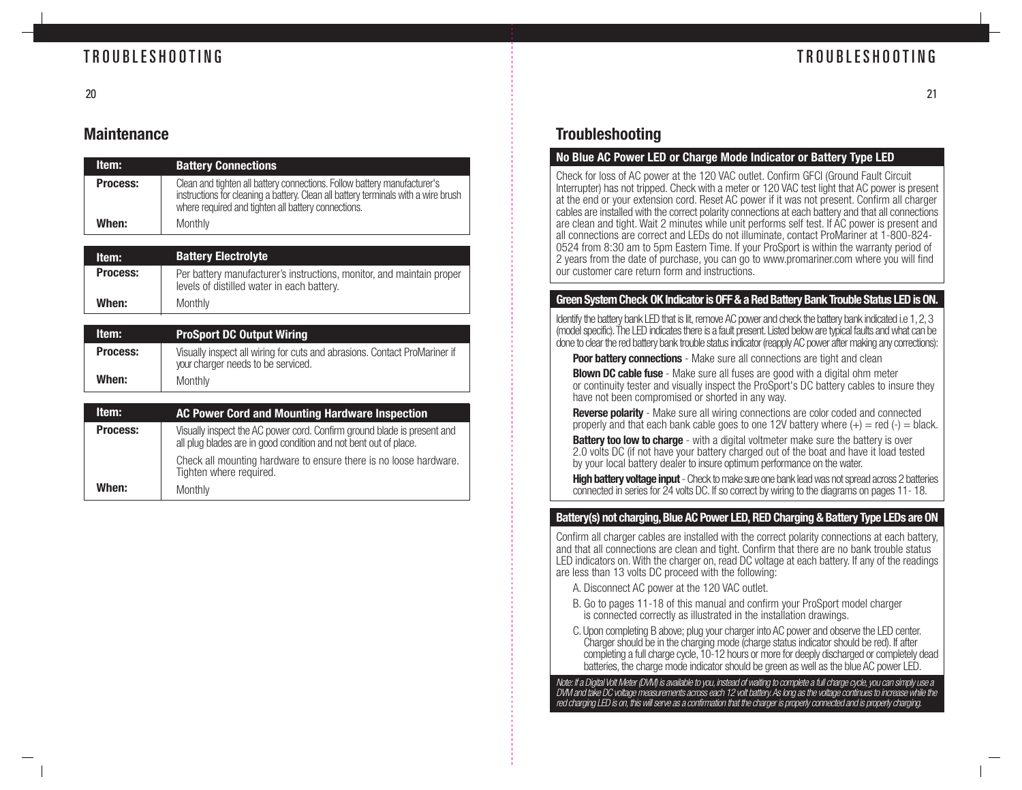## TROUBLESHOOTING

## TROUBLESHOOTING

## **Maintenance**

| Item:           | <b>Battery Connections</b>                                                                                                                                                                                            |
|-----------------|-----------------------------------------------------------------------------------------------------------------------------------------------------------------------------------------------------------------------|
| <b>Process:</b> | Clean and tighten all battery connections. Follow battery manufacturer's<br>instructions for cleaning a battery. Clean all battery terminals with a wire brush<br>where required and tighten all battery connections. |
| When:           | Monthly                                                                                                                                                                                                               |

| Item:           | <b>Battery Electrolyte</b>                                                                                          |
|-----------------|---------------------------------------------------------------------------------------------------------------------|
| <b>Process:</b> | Per battery manufacturer's instructions, monitor, and maintain proper<br>levels of distilled water in each battery. |
| When:           | Monthly                                                                                                             |

| ltem:           | <b>ProSport DC Output Wiring</b>                                                                                |
|-----------------|-----------------------------------------------------------------------------------------------------------------|
| <b>Process:</b> | Visually inspect all wiring for cuts and abrasions. Contact ProMariner if<br>your charger needs to be serviced. |
| When:           | Monthly                                                                                                         |

| Item:           | AC Power Cord and Mounting Hardware Inspection                                                                                              |
|-----------------|---------------------------------------------------------------------------------------------------------------------------------------------|
| <b>Process:</b> | Visually inspect the AC power cord. Confirm ground blade is present and<br>all plug blades are in good condition and not bent out of place. |
|                 | Check all mounting hardware to ensure there is no loose hardware.<br>Tighten where required.                                                |
| When:           | Monthly                                                                                                                                     |

## **Troubleshooting**

### **No Blue AC Power LED or Charge Mode Indicator or Battery Type LED**

Check for loss of AC power at the 120 VAC outlet. Confirm GFCI (Ground Fault Circuit Interrupter) has not tripped. Check with a meter or 120 VAC test light that AC power is present at the end or your extension cord. Reset AC power if it was not present. Confirm all charger cables are installed with the correct polarity connections at each battery and that all connections are clean and tight. Wait 2 minutes while unit performs self test. If AC power is present and all connections are correct and LEDs do not illuminate, contact ProMariner at 1-800-824- 0524 from 8:30 am to 5pm Eastern Time. If your ProSport is within the warranty period of 2 years from the date of purchase, you can go to www.promariner.com where you will find our customer care return form and instructions.

### **Green System Check OK Indicator is OFF & a Red Battery Bank Trouble Status LED is ON.**

Identify the battery bank LED that is lit, remove AC power and check the battery bank indicated i.e 1, 2, 3 (model specific). The LED indicates there is a fault present. Listed below are typical faults and what can be done to clear the red battery bank trouble status indicator (reapply AC power after making any corrections):

**Poor battery connections** - Make sure all connections are tight and clean

**Blown DC cable fuse** - Make sure all fuses are good with a digital ohm meter or continuity tester and visually inspect the ProSport's DC battery cables to insure they have not been compromised or shorted in any way.

**Reverse polarity** - Make sure all wiring connections are color coded and connected properly and that each bank cable goes to one 12V battery where  $(+) =$  red  $(-) =$  black.

**Battery too low to charge** - with a digital voltmeter make sure the battery is over 2.0 volts DC (if not have your battery charged out of the boat and have it load tested by your local battery dealer to insure optimum performance on the water.

**High battery voltage input** - Check to make sure one bank lead was not spread across 2 batteries connected in series for 24 volts DC. If so correct by wiring to the diagrams on pages 11- 18.

### **Battery(s) not charging, Blue AC Power LED, RED Charging & Battery Type LEDs are ON**

Confirm all charger cables are installed with the correct polarity connections at each battery, and that all connections are clean and tight. Confirm that there are no bank trouble status LED indicators on. With the charger on, read DC voltage at each battery. If any of the readings are less than 13 volts DC proceed with the following:

- A. Disconnect AC power at the 120 VAC outlet.
- B. Go to pages 11-18 of this manual and confirm your ProSport model charger is connected correctly as illustrated in the installation drawings.
- C. Upon completing B above; plug your charger into AC power and observe the LED center. Charger should be in the charging mode (charge status indicator should be red). If after completing a full charge cycle, 10-12 hours or more for deeply discharged or completely dead batteries, the charge mode indicator should be green as well as the blue AC power LED.

Note: If a Digital Volt Meter (DVM) is available to you, instead of waiting to complete a full charge cycle, you can simply use a DVM and take DC voltage measurements across each 12 volt battery. As long as the voltage continues to increase while the red charging LED is on, this will serve as a confirmation that the charger is properly connected and is properly charging.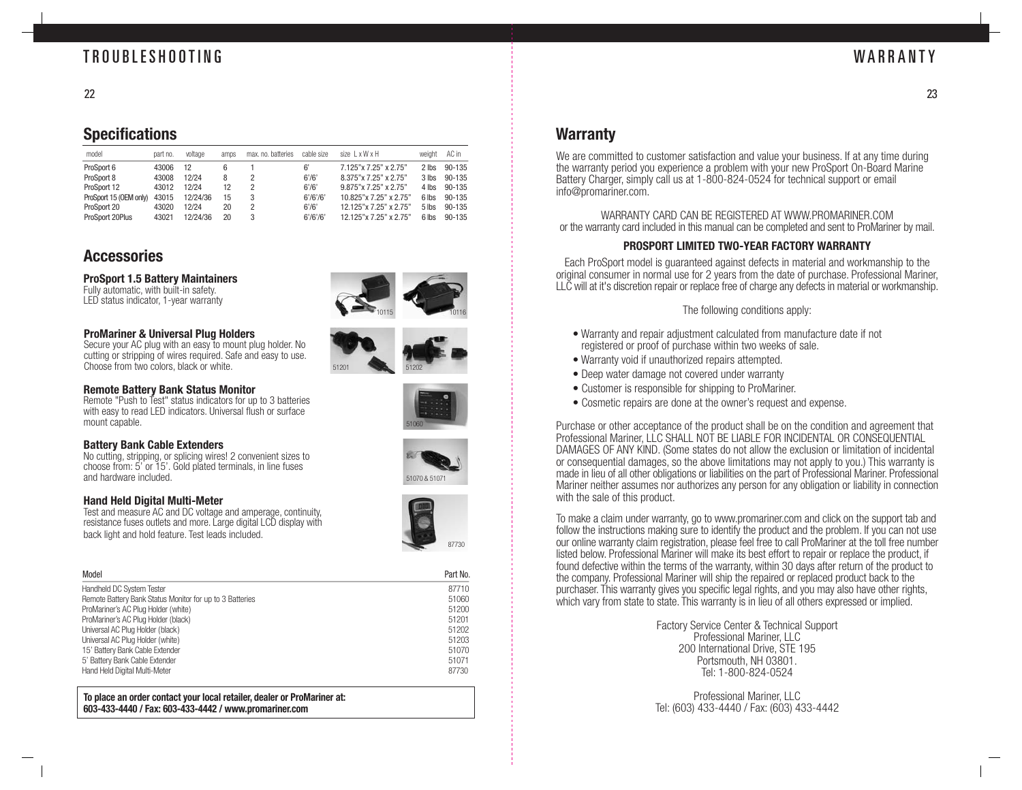## TROUBLESHOOTING

23

## **Specifications**

| model                  | part no. | voltage  | amps | max, no, batteries | cable size | size $1 \times W \times H$ | weight  | AC in      |
|------------------------|----------|----------|------|--------------------|------------|----------------------------|---------|------------|
| ProSport 6             | 43006    | 12       | 6    |                    | 6'         | 7.125" x 7.25" x 2.75"     | $2$ lhs | 90-135     |
| ProSport 8             | 43008    | 12/24    | 8    |                    | 6'/6'      | 8.375"x 7.25" x 2.75"      | $3$ lbs | 90-135     |
| ProSport 12            | 43012    | 12/24    | 12   |                    | 6'/6'      | 9.875"x 7.25" x 2.75"      | 4 lbs   | $90 - 135$ |
| ProSport 15 (OEM only) | 43015    | 12/24/36 | 15   | 3                  | 6'/6'/6'   | 10.825"x 7.25" x 2.75"     | 6 lhs   | 90-135     |
| ProSport 20            | 43020    | 12/24    | 20   |                    | 6'/6'      | 12.125"x 7.25" x 2.75"     | $5$ lbs | $90 - 135$ |
| ProSport 20Plus        | 43021    | 12/24/36 | 20   | 3                  | 6'/6'/6'   | 12.125"x 7.25" x 2.75"     | 6 lbs   | $90-135$   |

## **Accessories**

### **ProSport 1.5 Battery Maintainers**

Fully automatic, with built-in safety. LED status indicator, 1-year warranty

### **ProMariner & Universal Plug Holders**

Secure your AC plug with an easy to mount plug holder. No cutting or stripping of wires required. Safe and easy to use. Choose from two colors, black or white.

### **Remote Battery Bank Status Monitor**

Remote "Push to Test" status indicators for up to 3 batteries with easy to read LED indicators. Universal flush or surface mount capable.

### **Battery Bank Cable Extenders**

No cutting, stripping, or splicing wires! 2 convenient sizes to choose from: 5' or 15'. Gold plated terminals, in line fuses and hardware included. The state of the state of the state of the state of the state of the state of the state of the state of the state of the state of the state of the state of the state of the state of the state of the

### **Hand Held Digital Multi-Meter**

Test and measure AC and DC voltage and amperage, continuity, resistance fuses outlets and more. Large digital LCD display with back light and hold feature. Test leads included.

| Model                                                    | Part No. |
|----------------------------------------------------------|----------|
| Handheld DC System Tester                                | 87710    |
| Remote Battery Bank Status Monitor for up to 3 Batteries | 51060    |
| ProMariner's AC Plug Holder (white)                      | 51200    |
| ProMariner's AC Plug Holder (black)                      | 51201    |
| Universal AC Plug Holder (black)                         | 51202    |
| Universal AC Plug Holder (white)                         | 51203    |
| 15' Battery Bank Cable Extender                          | 51070    |
| 5' Battery Bank Cable Extender                           | 51071    |
| Hand Held Digital Multi-Meter                            | 87730    |

**To place an order contact your local retailer, dealer or ProMariner at: 603-433-4440 / Fax: 603-433-4442 / www.promariner.com**

# 10115 10116









### **Warranty**

We are committed to customer satisfaction and value your business. If at any time during the warranty period you experience a problem with your new ProSport On-Board Marine Battery Charger, simply call us at 1-800-824-0524 for technical support or email info@promariner.com.

WARRANTY CARD CAN BE REGISTERED AT WWW.PROMARINER.COM or the warranty card included in this manual can be completed and sent to ProMariner by mail.

### **PROSPORT LIMITED TWO-YEAR FACTORY WARRANTY**

Each ProSport model is guaranteed against defects in material and workmanship to the original consumer in normal use for 2 years from the date of purchase. Professional Mariner, LLC will at it's discretion repair or replace free of charge any defects in material or workmanship.

The following conditions apply:

- Warranty and repair adjustment calculated from manufacture date if not registered or proof of purchase within two weeks of sale.
- Warranty void if unauthorized repairs attempted.
- Deep water damage not covered under warranty
- Customer is responsible for shipping to ProMariner.
- Cosmetic repairs are done at the owner's request and expense.

Purchase or other acceptance of the product shall be on the condition and agreement that Professional Mariner, LLC SHALL NOT BE LIABLE FOR INCIDENTAL OR CONSEQUENTIAL DAMAGES OF ANY KIND. (Some states do not allow the exclusion or limitation of incidental or consequential damages, so the above limitations may not apply to you.) This warranty is made in lieu of all other obligations or liabilities on the part of Professional Mariner. Professional Mariner neither assumes nor authorizes any person for any obligation or liability in connection with the sale of this product.

To make a claim under warranty, go to www.promariner.com and click on the support tab and follow the instructions making sure to identify the product and the problem. If you can not use our online warranty claim registration, please feel free to call ProMariner at the toll free number listed below. Professional Mariner will make its best effort to repair or replace the product, if found defective within the terms of the warranty, within 30 days after return of the product to the company. Professional Mariner will ship the repaired or replaced product back to the purchaser. This warranty gives you specific legal rights, and you may also have other rights, which vary from state to state. This warranty is in lieu of all others expressed or implied.

> Factory Service Center & Technical Support Professional Mariner, LLC 200 International Drive, STE 195 Portsmouth, NH 03801. Tel: 1-800-824-0524

> Professional Mariner, LLC Tel: (603) 433-4440 / Fax: (603) 433-4442